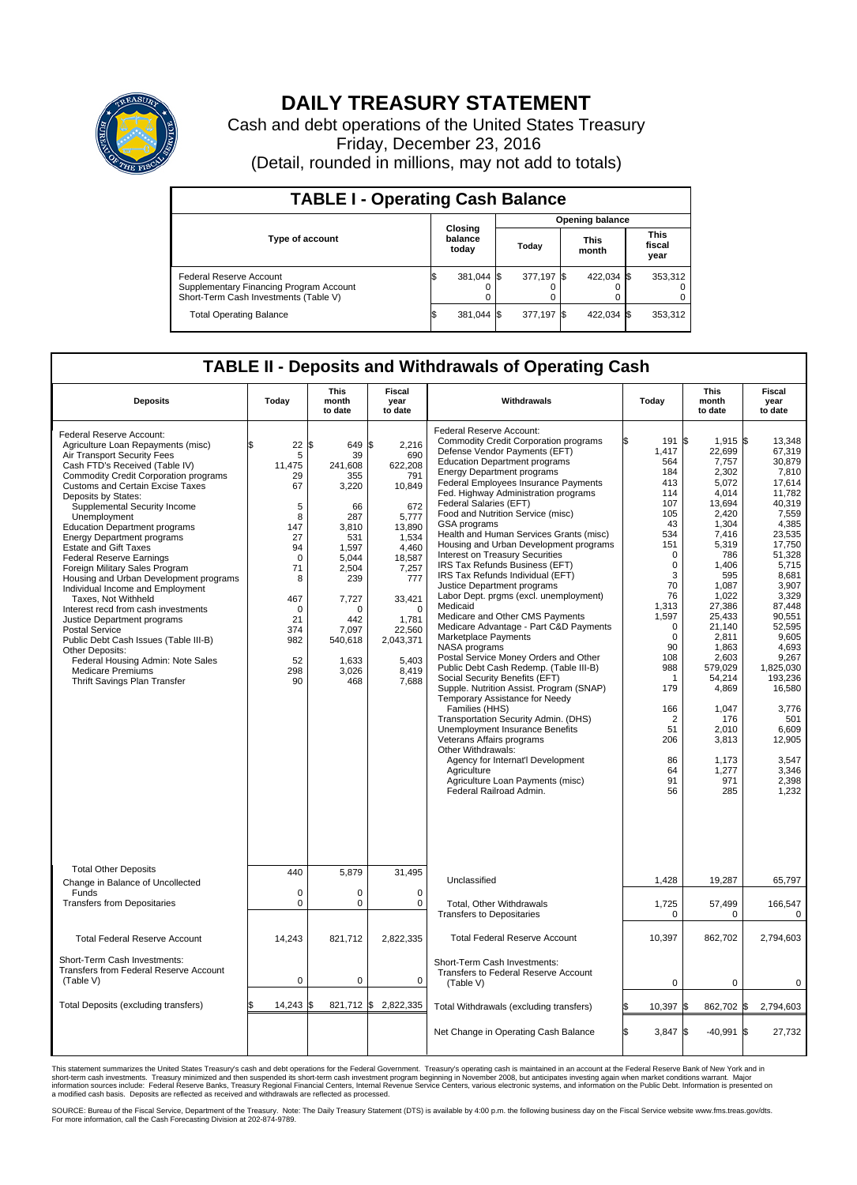

## **DAILY TREASURY STATEMENT**

Cash and debt operations of the United States Treasury Friday, December 23, 2016 (Detail, rounded in millions, may not add to totals)

| <b>TABLE I - Operating Cash Balance</b>                                                                     |  |                             |  |                        |  |                      |  |                               |  |  |
|-------------------------------------------------------------------------------------------------------------|--|-----------------------------|--|------------------------|--|----------------------|--|-------------------------------|--|--|
|                                                                                                             |  | Closing<br>balance<br>today |  | <b>Opening balance</b> |  |                      |  |                               |  |  |
| <b>Type of account</b>                                                                                      |  |                             |  | Today                  |  | <b>This</b><br>month |  | <b>This</b><br>fiscal<br>year |  |  |
| Federal Reserve Account<br>Supplementary Financing Program Account<br>Short-Term Cash Investments (Table V) |  | 381,044 \$                  |  | 377,197 \$             |  | 422,034 \$           |  | 353,312                       |  |  |
| <b>Total Operating Balance</b>                                                                              |  | 381,044 \$                  |  | 377,197 \$             |  | 422,034 \$           |  | 353,312                       |  |  |

## **TABLE II - Deposits and Withdrawals of Operating Cash**

| <b>Deposits</b>                                                                                                                                                                                                                                                                                                                                                                                                                                                                                                                                                                                                                                                                                                                                                                                                                                      | Today                                                                                                                                                   | <b>This</b><br>month<br>to date                                                                                                                                                        | Fiscal<br>year<br>to date                                                                                                                                                                       | Withdrawals                                                                                                                                                                                                                                                                                                                                                                                                                                                                                                                                                                                                                                                                                                                                                                                                                                                                                                                                                                                                                                                                                                                                                                                                                                 |    | Today                                                                                                                                                                                                                                                                      | <b>This</b><br>month<br>to date                                                                                                                                                                                                                                                                          | Fiscal<br>year<br>to date                                                                                                                                                                                                                                                                                               |
|------------------------------------------------------------------------------------------------------------------------------------------------------------------------------------------------------------------------------------------------------------------------------------------------------------------------------------------------------------------------------------------------------------------------------------------------------------------------------------------------------------------------------------------------------------------------------------------------------------------------------------------------------------------------------------------------------------------------------------------------------------------------------------------------------------------------------------------------------|---------------------------------------------------------------------------------------------------------------------------------------------------------|----------------------------------------------------------------------------------------------------------------------------------------------------------------------------------------|-------------------------------------------------------------------------------------------------------------------------------------------------------------------------------------------------|---------------------------------------------------------------------------------------------------------------------------------------------------------------------------------------------------------------------------------------------------------------------------------------------------------------------------------------------------------------------------------------------------------------------------------------------------------------------------------------------------------------------------------------------------------------------------------------------------------------------------------------------------------------------------------------------------------------------------------------------------------------------------------------------------------------------------------------------------------------------------------------------------------------------------------------------------------------------------------------------------------------------------------------------------------------------------------------------------------------------------------------------------------------------------------------------------------------------------------------------|----|----------------------------------------------------------------------------------------------------------------------------------------------------------------------------------------------------------------------------------------------------------------------------|----------------------------------------------------------------------------------------------------------------------------------------------------------------------------------------------------------------------------------------------------------------------------------------------------------|-------------------------------------------------------------------------------------------------------------------------------------------------------------------------------------------------------------------------------------------------------------------------------------------------------------------------|
| Federal Reserve Account:<br>Agriculture Loan Repayments (misc)<br>Air Transport Security Fees<br>Cash FTD's Received (Table IV)<br><b>Commodity Credit Corporation programs</b><br><b>Customs and Certain Excise Taxes</b><br>Deposits by States:<br>Supplemental Security Income<br>Unemployment<br><b>Education Department programs</b><br><b>Energy Department programs</b><br><b>Estate and Gift Taxes</b><br><b>Federal Reserve Earnings</b><br>Foreign Military Sales Program<br>Housing and Urban Development programs<br>Individual Income and Employment<br>Taxes. Not Withheld<br>Interest recd from cash investments<br>Justice Department programs<br><b>Postal Service</b><br>Public Debt Cash Issues (Table III-B)<br>Other Deposits:<br>Federal Housing Admin: Note Sales<br><b>Medicare Premiums</b><br>Thrift Savings Plan Transfer | 22<br>\$<br>5<br>11,475<br>29<br>67<br>5<br>8<br>147<br>27<br>94<br>$\mathbf 0$<br>71<br>8<br>467<br>$\mathbf 0$<br>21<br>374<br>982<br>52<br>298<br>90 | 649 \$<br>l\$<br>39<br>241,608<br>355<br>3,220<br>66<br>287<br>3,810<br>531<br>1,597<br>5.044<br>2,504<br>239<br>7,727<br>$\Omega$<br>442<br>7,097<br>540,618<br>1,633<br>3,026<br>468 | 2,216<br>690<br>622,208<br>791<br>10,849<br>672<br>5,777<br>13,890<br>1.534<br>4,460<br>18,587<br>7,257<br>777<br>33,421<br>$\Omega$<br>1,781<br>22,560<br>2,043,371<br>5,403<br>8,419<br>7,688 | Federal Reserve Account:<br><b>Commodity Credit Corporation programs</b><br>Defense Vendor Payments (EFT)<br><b>Education Department programs</b><br><b>Energy Department programs</b><br>Federal Employees Insurance Payments<br>Fed. Highway Administration programs<br>Federal Salaries (EFT)<br>Food and Nutrition Service (misc)<br><b>GSA</b> programs<br>Health and Human Services Grants (misc)<br>Housing and Urban Development programs<br>Interest on Treasury Securities<br>IRS Tax Refunds Business (EFT)<br>IRS Tax Refunds Individual (EFT)<br>Justice Department programs<br>Labor Dept. prgms (excl. unemployment)<br>Medicaid<br>Medicare and Other CMS Payments<br>Medicare Advantage - Part C&D Payments<br>Marketplace Payments<br>NASA programs<br>Postal Service Money Orders and Other<br>Public Debt Cash Redemp. (Table III-B)<br>Social Security Benefits (EFT)<br>Supple. Nutrition Assist. Program (SNAP)<br>Temporary Assistance for Needy<br>Families (HHS)<br>Transportation Security Admin. (DHS)<br>Unemployment Insurance Benefits<br>Veterans Affairs programs<br>Other Withdrawals:<br>Agency for Internat'l Development<br>Agriculture<br>Agriculture Loan Payments (misc)<br>Federal Railroad Admin. |    | 191<br>\$<br>1,417<br>564<br>184<br>413<br>114<br>107<br>105<br>43<br>534<br>151<br>$\Omega$<br>$\mathbf 0$<br>3<br>70<br>76<br>1,313<br>1,597<br>$\mathbf 0$<br>$\mathbf 0$<br>90<br>108<br>988<br>1<br>179<br>166<br>$\overline{2}$<br>51<br>206<br>86<br>64<br>91<br>56 | $1,915$ \$<br>22,699<br>7,757<br>2,302<br>5,072<br>4,014<br>13,694<br>2.420<br>1,304<br>7,416<br>5,319<br>786<br>1,406<br>595<br>1.087<br>1,022<br>27,386<br>25,433<br>21,140<br>2,811<br>1,863<br>2,603<br>579.029<br>54.214<br>4,869<br>1.047<br>176<br>2.010<br>3,813<br>1,173<br>1,277<br>971<br>285 | 13,348<br>67,319<br>30.879<br>7.810<br>17,614<br>11,782<br>40.319<br>7.559<br>4,385<br>23,535<br>17.750<br>51,328<br>5,715<br>8,681<br>3.907<br>3,329<br>87,448<br>90,551<br>52,595<br>9.605<br>4,693<br>9,267<br>1,825,030<br>193,236<br>16,580<br>3,776<br>501<br>6,609<br>12,905<br>3.547<br>3,346<br>2,398<br>1,232 |
| <b>Total Other Deposits</b><br>Change in Balance of Uncollected                                                                                                                                                                                                                                                                                                                                                                                                                                                                                                                                                                                                                                                                                                                                                                                      | 440                                                                                                                                                     | 5,879                                                                                                                                                                                  | 31,495                                                                                                                                                                                          | Unclassified                                                                                                                                                                                                                                                                                                                                                                                                                                                                                                                                                                                                                                                                                                                                                                                                                                                                                                                                                                                                                                                                                                                                                                                                                                |    | 1,428                                                                                                                                                                                                                                                                      | 19,287                                                                                                                                                                                                                                                                                                   | 65,797                                                                                                                                                                                                                                                                                                                  |
| Funds<br><b>Transfers from Depositaries</b>                                                                                                                                                                                                                                                                                                                                                                                                                                                                                                                                                                                                                                                                                                                                                                                                          | 0<br>$\mathbf 0$                                                                                                                                        | $\mathbf 0$<br>0                                                                                                                                                                       | $\mathbf 0$<br>0                                                                                                                                                                                | Total, Other Withdrawals<br><b>Transfers to Depositaries</b>                                                                                                                                                                                                                                                                                                                                                                                                                                                                                                                                                                                                                                                                                                                                                                                                                                                                                                                                                                                                                                                                                                                                                                                |    | 1,725<br>$\mathbf 0$                                                                                                                                                                                                                                                       | 57,499<br>$\Omega$                                                                                                                                                                                                                                                                                       | 166,547<br>$\mathbf 0$                                                                                                                                                                                                                                                                                                  |
| <b>Total Federal Reserve Account</b>                                                                                                                                                                                                                                                                                                                                                                                                                                                                                                                                                                                                                                                                                                                                                                                                                 | 14,243                                                                                                                                                  | 821,712                                                                                                                                                                                | 2,822,335                                                                                                                                                                                       | <b>Total Federal Reserve Account</b>                                                                                                                                                                                                                                                                                                                                                                                                                                                                                                                                                                                                                                                                                                                                                                                                                                                                                                                                                                                                                                                                                                                                                                                                        |    | 10,397                                                                                                                                                                                                                                                                     | 862,702                                                                                                                                                                                                                                                                                                  | 2,794,603                                                                                                                                                                                                                                                                                                               |
| Short-Term Cash Investments:<br>Transfers from Federal Reserve Account<br>(Table V)                                                                                                                                                                                                                                                                                                                                                                                                                                                                                                                                                                                                                                                                                                                                                                  | $\mathbf 0$                                                                                                                                             | $\mathbf 0$                                                                                                                                                                            | $\mathbf 0$                                                                                                                                                                                     | Short-Term Cash Investments:<br>Transfers to Federal Reserve Account<br>(Table V)                                                                                                                                                                                                                                                                                                                                                                                                                                                                                                                                                                                                                                                                                                                                                                                                                                                                                                                                                                                                                                                                                                                                                           |    | $\mathbf 0$                                                                                                                                                                                                                                                                | 0                                                                                                                                                                                                                                                                                                        | $\mathbf 0$                                                                                                                                                                                                                                                                                                             |
| Total Deposits (excluding transfers)                                                                                                                                                                                                                                                                                                                                                                                                                                                                                                                                                                                                                                                                                                                                                                                                                 | $14,243$ \$<br>\$                                                                                                                                       |                                                                                                                                                                                        | 821,712 \$2,822,335                                                                                                                                                                             | Total Withdrawals (excluding transfers)                                                                                                                                                                                                                                                                                                                                                                                                                                                                                                                                                                                                                                                                                                                                                                                                                                                                                                                                                                                                                                                                                                                                                                                                     |    | 10,397<br>S.                                                                                                                                                                                                                                                               | 862,702 \$                                                                                                                                                                                                                                                                                               | 2,794,603                                                                                                                                                                                                                                                                                                               |
|                                                                                                                                                                                                                                                                                                                                                                                                                                                                                                                                                                                                                                                                                                                                                                                                                                                      |                                                                                                                                                         |                                                                                                                                                                                        |                                                                                                                                                                                                 | Net Change in Operating Cash Balance                                                                                                                                                                                                                                                                                                                                                                                                                                                                                                                                                                                                                                                                                                                                                                                                                                                                                                                                                                                                                                                                                                                                                                                                        | Ŝ. | 3,847<br>l\$                                                                                                                                                                                                                                                               | $-40,991$                                                                                                                                                                                                                                                                                                | l\$<br>27,732                                                                                                                                                                                                                                                                                                           |

This statement summarizes the United States Treasury's cash and debt operations for the Federal Government. Treasury's operating cash is maintained in an account at the Federal Reserve Bank of New York and in<br>short-term ca

SOURCE: Bureau of the Fiscal Service, Department of the Treasury. Note: The Daily Treasury Statement (DTS) is available by 4:00 p.m. the following business day on the Fiscal Service website www.fms.treas.gov/dts.<br>For more